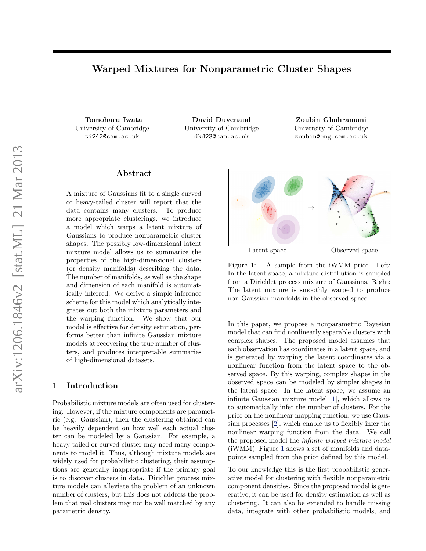# Warped Mixtures for Nonparametric Cluster Shapes

Tomoharu Iwata University of Cambridge ti242@cam.ac.uk

David Duvenaud University of Cambridge dkd23@cam.ac.uk

Zoubin Ghahramani University of Cambridge zoubin@eng.cam.ac.uk

# Abstract

A mixture of Gaussians fit to a single curved or heavy-tailed cluster will report that the data contains many clusters. To produce more appropriate clusterings, we introduce a model which warps a latent mixture of Gaussians to produce nonparametric cluster shapes. The possibly low-dimensional latent mixture model allows us to summarize the properties of the high-dimensional clusters (or density manifolds) describing the data. The number of manifolds, as well as the shape and dimension of each manifold is automatically inferred. We derive a simple inference scheme for this model which analytically integrates out both the mixture parameters and the warping function. We show that our model is effective for density estimation, performs better than infinite Gaussian mixture models at recovering the true number of clusters, and produces interpretable summaries of high-dimensional datasets.

#### 1 Introduction

Probabilistic mixture models are often used for clustering. However, if the mixture components are parametric (e.g. Gaussian), then the clustering obtained can be heavily dependent on how well each actual cluster can be modeled by a Gaussian. For example, a heavy tailed or curved cluster may need many components to model it. Thus, although mixture models are widely used for probabilistic clustering, their assumptions are generally inappropriate if the primary goal is to discover clusters in data. Dirichlet process mixture models can alleviate the problem of an unknown number of clusters, but this does not address the problem that real clusters may not be well matched by any parametric density.



<span id="page-0-0"></span>

Figure 1: A sample from the iWMM prior. Left: In the latent space, a mixture distribution is sampled from a Dirichlet process mixture of Gaussians. Right: The latent mixture is smoothly warped to produce non-Gaussian manifolds in the observed space.

In this paper, we propose a nonparametric Bayesian model that can find nonlinearly separable clusters with complex shapes. The proposed model assumes that each observation has coordinates in a latent space, and is generated by warping the latent coordinates via a nonlinear function from the latent space to the observed space. By this warping, complex shapes in the observed space can be modeled by simpler shapes in the latent space. In the latent space, we assume an infinite Gaussian mixture model [\[1\]](#page-8-0), which allows us to automatically infer the number of clusters. For the prior on the nonlinear mapping function, we use Gaussian processes [\[2\]](#page-8-1), which enable us to flexibly infer the nonlinear warping function from the data. We call the proposed model the infinite warped mixture model (iWMM). Figure [1](#page-0-0) shows a set of manifolds and datapoints sampled from the prior defined by this model.

To our knowledge this is the first probabilistic generative model for clustering with flexible nonparametric component densities. Since the proposed model is generative, it can be used for density estimation as well as clustering. It can also be extended to handle missing data, integrate with other probabilistic models, and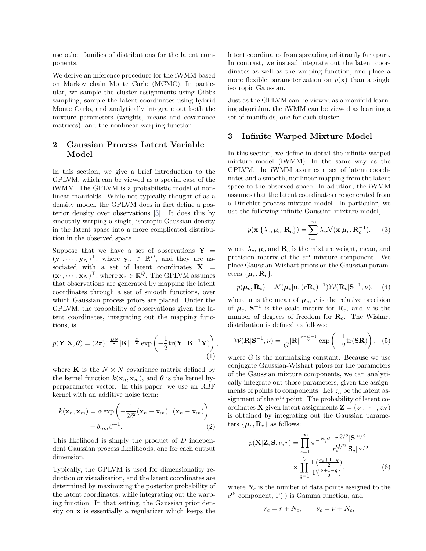use other families of distributions for the latent components.

We derive an inference procedure for the iWMM based on Markov chain Monte Carlo (MCMC). In particular, we sample the cluster assignments using Gibbs sampling, sample the latent coordinates using hybrid Monte Carlo, and analytically integrate out both the mixture parameters (weights, means and covariance matrices), and the nonlinear warping function.

# 2 Gaussian Process Latent Variable Model

In this section, we give a brief introduction to the GPLVM, which can be viewed as a special case of the iWMM. The GPLVM is a probabilistic model of nonlinear manifolds. While not typically thought of as a density model, the GPLVM does in fact define a posterior density over observations [\[3\]](#page-8-2). It does this by smoothly warping a single, isotropic Gaussian density in the latent space into a more complicated distribution in the observed space.

Suppose that we have a set of observations  $Y =$  $(\mathbf{y}_1, \dots, \mathbf{y}_N)^\top$ , where  $\mathbf{y}_n \in \mathbb{R}^D$ , and they are associated with a set of latent coordinates  $X =$  $(\mathbf{x}_1, \dots, \mathbf{x}_N)^\top$ , where  $\mathbf{x}_n \in \mathbb{R}^Q$ . The GPLVM assumes that observations are generated by mapping the latent coordinates through a set of smooth functions, over which Gaussian process priors are placed. Under the GPLVM, the probability of observations given the latent coordinates, integrating out the mapping functions, is

$$
p(\mathbf{Y}|\mathbf{X}, \boldsymbol{\theta}) = (2\pi)^{-\frac{DN}{2}} |\mathbf{K}|^{-\frac{D}{2}} \exp\left(-\frac{1}{2} \text{tr}(\mathbf{Y}^{\top} \mathbf{K}^{-1} \mathbf{Y})\right),\tag{1}
$$

where **K** is the  $N \times N$  covariance matrix defined by the kernel function  $k(\mathbf{x}_n, \mathbf{x}_m)$ , and  $\boldsymbol{\theta}$  is the kernel hyperparameter vector. In this paper, we use an RBF kernel with an additive noise term:

$$
k(\mathbf{x}_n, \mathbf{x}_m) = \alpha \exp\left(-\frac{1}{2\ell^2}(\mathbf{x}_n - \mathbf{x}_m)^\top(\mathbf{x}_n - \mathbf{x}_m)\right) + \delta_{nm}\beta^{-1}.
$$
 (2)

This likelihood is simply the product of D independent Gaussian process likelihoods, one for each output dimension.

Typically, the GPLVM is used for dimensionality reduction or visualization, and the latent coordinates are determined by maximizing the posterior probability of the latent coordinates, while integrating out the warping function. In that setting, the Gaussian prior density on x is essentially a regularizer which keeps the

latent coordinates from spreading arbitrarily far apart. In contrast, we instead integrate out the latent coordinates as well as the warping function, and place a more flexible parameterization on  $p(x)$  than a single isotropic Gaussian.

Just as the GPLVM can be viewed as a manifold learning algorithm, the iWMM can be viewed as learning a set of manifolds, one for each cluster.

### 3 Infinite Warped Mixture Model

In this section, we define in detail the infinite warped mixture model (iWMM). In the same way as the GPLVM, the iWMM assumes a set of latent coordinates and a smooth, nonlinear mapping from the latent space to the observed space. In addition, the iWMM assumes that the latent coordinates are generated from a Dirichlet process mixture model. In particular, we use the following infinite Gaussian mixture model,

$$
p(\mathbf{x}|\{\lambda_c, \boldsymbol{\mu}_c, \mathbf{R}_c\}) = \sum_{c=1}^{\infty} \lambda_c \mathcal{N}(\mathbf{x}|\boldsymbol{\mu}_c, \mathbf{R}_c^{-1}), \qquad (3)
$$

where  $\lambda_c$ ,  $\mu_c$  and  $\mathbf{R}_c$  is the mixture weight, mean, and precision matrix of the  $c<sup>th</sup>$  mixture component. We place Gaussian-Wishart priors on the Gaussian parameters  $\{\boldsymbol{\mu}_c, \mathbf{R}_c\},\$ 

$$
p(\boldsymbol{\mu}_c, \mathbf{R}_c) = \mathcal{N}(\boldsymbol{\mu}_c | \mathbf{u}, (r\mathbf{R}_c)^{-1}) \mathcal{W}(\mathbf{R}_c | \mathbf{S}^{-1}, \nu), \quad (4)
$$

where **u** is the mean of  $\mu_c$ , r is the relative precision of  $\mu_c$ ,  $S^{-1}$  is the scale matrix for  $R_c$ , and  $\nu$  is the number of degrees of freedom for  $\mathbf{R}_c$ . The Wishart distribution is defined as follows:

$$
W(\mathbf{R}|\mathbf{S}^{-1},\nu) = \frac{1}{G}|\mathbf{R}|^{\frac{\nu-Q-1}{2}}\exp\left(-\frac{1}{2}\mathrm{tr}(\mathbf{S}\mathbf{R})\right),\quad(5)
$$

<span id="page-1-0"></span>where  $G$  is the normalizing constant. Because we use conjugate Gaussian-Wishart priors for the parameters of the Gaussian mixture components, we can analytically integrate out those parameters, given the assignments of points to components. Let  $z_n$  be the latent assignment of the  $n<sup>th</sup>$  point. The probability of latent coordinates **X** given latent assignments  $\mathbf{Z} = (z_1, \dots, z_N)$ is obtained by integrating out the Gaussian parameters  $\{\boldsymbol{\mu}_c, \mathbf{R}_c\}$  as follows:

$$
p(\mathbf{X}|\mathbf{Z}, \mathbf{S}, \nu, r) = \prod_{c=1}^{\infty} \pi^{-\frac{N_c Q}{2}} \frac{r^{Q/2} |\mathbf{S}|^{\nu/2}}{r_c^{Q/2} |\mathbf{S}_c|^{\nu_c/2}} \times \prod_{q=1}^Q \frac{\Gamma(\frac{\nu_c + 1 - q}{2})}{\Gamma(\frac{\nu + 1 - q}{2})},
$$
(6)

where  $N_c$  is the number of data points assigned to the  $c<sup>th</sup>$  component,  $\Gamma(\cdot)$  is Gamma function, and

<span id="page-1-1"></span>
$$
r_c = r + N_c, \qquad \nu_c = \nu + N_c,
$$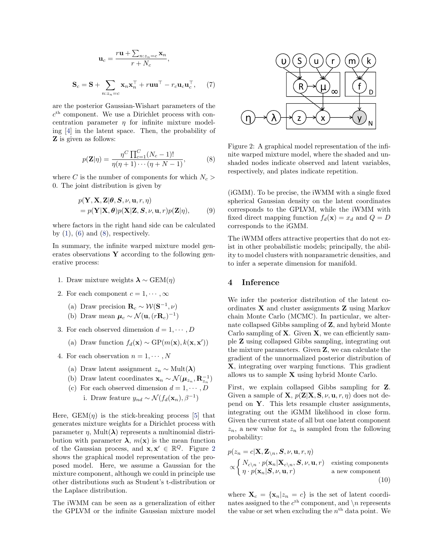$$
\mathbf{u}_c = \frac{r\mathbf{u} + \sum_{n:z_n=c} \mathbf{x}_n}{r + N_c},
$$
  

$$
\mathbf{S}_c = \mathbf{S} + \sum_{n:z_n=c} \mathbf{x}_n \mathbf{x}_n^\top + r\mathbf{u}\mathbf{u}^\top - r_c \mathbf{u}_c \mathbf{u}_c^\top, \qquad (7)
$$

are the posterior Gaussian-Wishart parameters of the  $c<sup>th</sup>$  component. We use a Dirichlet process with concentration parameter  $\eta$  for infinite mixture modeling [\[4\]](#page-8-3) in the latent space. Then, the probability of Z is given as follows:

$$
p(\mathbf{Z}|\eta) = \frac{\eta^C \prod_{c=1}^C (N_c - 1)!}{\eta(\eta + 1) \cdots (\eta + N - 1)},
$$
(8)

where C is the number of components for which  $N_c$ 0. The joint distribution is given by

$$
p(\mathbf{Y}, \mathbf{X}, \mathbf{Z} | \boldsymbol{\theta}, \mathbf{S}, \nu, \mathbf{u}, r, \eta) = p(\mathbf{Y} | \mathbf{X}, \boldsymbol{\theta}) p(\mathbf{X} | \mathbf{Z}, \mathbf{S}, \nu, \mathbf{u}, r) p(\mathbf{Z} | \eta),
$$
 (9)

where factors in the right hand side can be calculated by  $(1)$ ,  $(6)$  and  $(8)$ , respectively.

In summary, the infinite warped mixture model generates observations  $\bf{Y}$  according to the following generative process:

- 1. Draw mixture weights  $\lambda \sim \text{GEM}(\eta)$
- 2. For each component  $c = 1, \dots, \infty$ 
	- (a) Draw precision  $\mathbf{R}_c \sim \mathcal{W}(\mathbf{S}^{-1}, \nu)$
	- (b) Draw mean  $\mu_c \sim \mathcal{N}(\mathbf{u}, (r\mathbf{R}_c)^{-1})$
- 3. For each observed dimension  $d = 1, \dots, D$ 
	- (a) Draw function  $f_d(\mathbf{x}) \sim \text{GP}(m(\mathbf{x}), k(\mathbf{x}, \mathbf{x}'))$
- 4. For each observation  $n = 1, \dots, N$ 
	- (a) Draw latent assignment  $z_n \sim \text{Mult}(\lambda)$
	- (b) Draw latent coordinates  $\mathbf{x}_n \sim \mathcal{N}(\boldsymbol{\mu}_{z_n}, \mathbf{R}_{z_n}^{-1})$
	- (c) For each observed dimension  $d = 1, \dots, D$ i. Draw feature  $y_{nd} \sim \mathcal{N}(f_d(\mathbf{x}_n), \beta^{-1})$

Here,  $GEM(\eta)$  is the stick-breaking process [\[5\]](#page-8-4) that generates mixture weights for a Dirichlet process with parameter  $\eta$ , Mult $(\lambda)$  represents a multinomial distribution with parameter  $\lambda$ ,  $m(\mathbf{x})$  is the mean function of the Gaussian process, and  $\mathbf{x}, \mathbf{x}' \in \mathbb{R}^Q$ . Figure [2](#page-2-1) shows the graphical model representation of the proposed model. Here, we assume a Gaussian for the mixture component, although we could in principle use other distributions such as Student's t-distribution or the Laplace distribution.

The iWMM can be seen as a generalization of either the GPLVM or the infinite Gaussian mixture model



<span id="page-2-1"></span><span id="page-2-0"></span>Figure 2: A graphical model representation of the infinite warped mixture model, where the shaded and unshaded nodes indicate observed and latent variables, respectively, and plates indicate repetition.

(iGMM). To be precise, the iWMM with a single fixed spherical Gaussian density on the latent coordinates corresponds to the GPLVM, while the iWMM with fixed direct mapping function  $f_d(\mathbf{x}) = x_d$  and  $Q = D$ corresponds to the iGMM.

The iWMM offers attractive properties that do not exist in other probabilistic models; principally, the ability to model clusters with nonparametric densities, and to infer a seperate dimension for manifold.

# 4 Inference

We infer the posterior distribution of the latent coordinates X and cluster assignments Z using Markov chain Monte Carlo (MCMC). In particular, we alternate collapsed Gibbs sampling of Z, and hybrid Monte Carlo sampling of  $X$ . Given  $X$ , we can efficiently sample Z using collapsed Gibbs sampling, integrating out the mixture parameters. Given Z, we can calculate the gradient of the unnormalized posterior distribution of X, integrating over warping functions. This gradient allows us to sample X using hybrid Monte Carlo.

First, we explain collapsed Gibbs sampling for Z. Given a sample of **X**,  $p(\mathbf{Z}|\mathbf{X}, \mathbf{S}, \nu, \mathbf{u}, r, \eta)$  does not depend on  $Y$ . This lets resample cluster assignments, integrating out the iGMM likelihood in close form. Given the current state of all but one latent component  $z_n$ , a new value for  $z_n$  is sampled from the following probability:

<span id="page-2-2"></span>
$$
p(z_n = c | \mathbf{X}, \mathbf{Z}_{\setminus n}, \mathbf{S}, \nu, \mathbf{u}, r, \eta)
$$
  
 
$$
\propto \begin{cases} N_{c \setminus n} \cdot p(\mathbf{x}_n | \mathbf{X}_{c \setminus n}, \mathbf{S}, \nu, \mathbf{u}, r) & \text{existing components} \\ \eta \cdot p(\mathbf{x}_n | \mathbf{S}, \nu, \mathbf{u}, r) & \text{a new component} \\ 10 \end{cases}
$$

where  $\mathbf{X}_c = {\mathbf{x}_n | z_n = c}$  is the set of latent coordinates assigned to the  $c<sup>th</sup>$  component, and  $\n\setminus n$  represents the value or set when excluding the  $n<sup>th</sup>$  data point. We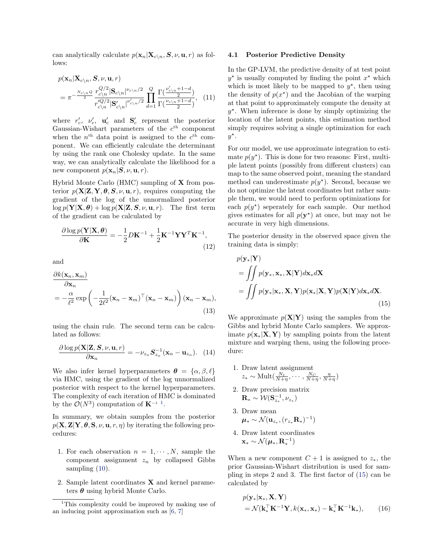can analytically calculate  $p(\mathbf{x}_n|\mathbf{X}_{c\setminus n}, \mathbf{S}, \nu, \mathbf{u}, r)$  as follows:

$$
p(\mathbf{x}_n|\mathbf{X}_{c\backslash n}, \mathbf{S}, \nu, \mathbf{u}, r)
$$
  
= 
$$
\pi^{-\frac{N_{c\backslash n}Q}{2}} \frac{r_{c\backslash n}^{Q/2} |\mathbf{S}_{c\backslash n}|^{\nu_{c\backslash n}/2}}{r_{c\backslash n}^{Q/2} |\mathbf{S}_{c\backslash n}|^{\nu'_{c\backslash n}/2}} \prod_{d=1}^{Q} \frac{\Gamma(\frac{\nu'_{c\backslash n} + 1 - d}{2})}{\Gamma(\frac{\nu_{c\backslash n} + 1 - d}{2})}, \quad (11)
$$

where  $r'_c$ ,  $v'_c$ ,  $\mathbf{u}'_c$  and  $\mathbf{S}'_c$  represent the posterior Gaussian-Wishart parameters of the  $c<sup>th</sup>$  component when the  $n<sup>th</sup>$  data point is assigned to the  $c<sup>th</sup>$  component. We can efficiently calculate the determinant by using the rank one Cholesky update. In the same way, we can analytically calculate the likelihood for a new component  $p(\mathbf{x}_n|\mathbf{S}, \nu, \mathbf{u}, r)$ .

Hybrid Monte Carlo (HMC) sampling of X from posterior  $p(X|Z, Y, \theta, S, \nu, \mathbf{u}, r)$ , requires computing the gradient of the log of the unnormalized posterior  $\log p(\mathbf{Y}|\mathbf{X}, \boldsymbol{\theta}) + \log p(\mathbf{X}|\mathbf{Z}, \mathbf{S}, \nu, \mathbf{u}, r)$ . The first term of the gradient can be calculated by

$$
\frac{\partial \log p(\mathbf{Y}|\mathbf{X}, \boldsymbol{\theta})}{\partial \mathbf{K}} = -\frac{1}{2} D \mathbf{K}^{-1} + \frac{1}{2} \mathbf{K}^{-1} \mathbf{Y} \mathbf{Y}^T \mathbf{K}^{-1},
$$
\n(12)

and

$$
\frac{\partial k(\mathbf{x}_n, \mathbf{x}_m)}{\partial \mathbf{x}_n} = -\frac{\alpha}{\ell^2} \exp\left(-\frac{1}{2\ell^2}(\mathbf{x}_n - \mathbf{x}_m)^\top (\mathbf{x}_n - \mathbf{x}_m)\right) (\mathbf{x}_n - \mathbf{x}_m),
$$
\n(13)

using the chain rule. The second term can be calculated as follows:

$$
\frac{\partial \log p(\mathbf{X}|\mathbf{Z}, \mathbf{S}, \nu, \mathbf{u}, r)}{\partial \mathbf{x}_n} = -\nu_{z_n} \mathbf{S}_{z_n}^{-1}(\mathbf{x}_n - \mathbf{u}_{z_n}). \quad (14)
$$

We also infer kernel hyperparameters  $\boldsymbol{\theta} = {\alpha, \beta, \ell}$ via HMC, using the gradient of the log unnormalized posterior with respect to the kernel hyperparameters. The complexity of each iteration of HMC is dominated by the  $\mathcal{O}(N^3)$  computation of  $\mathbf{K}^{-1}$  $\mathbf{K}^{-1}$  $\mathbf{K}^{-1}$ <sup>1</sup>.

In summary, we obtain samples from the posterior  $p(\mathbf{X}, \mathbf{Z} | \mathbf{Y}, \boldsymbol{\theta}, \mathbf{S}, \nu, \mathbf{u}, r, \eta)$  by iterating the following procedures:

- 1. For each observation  $n = 1, \dots, N$ , sample the component assignment  $z_n$  by collapsed Gibbs sampling  $(10)$ .
- 2. Sample latent coordinates X and kernel parameters  $\theta$  using hybrid Monte Carlo.

#### 4.1 Posterior Predictive Density

In the GP-LVM, the predictive density of at test point  $y^*$  is usually computed by finding the point  $x^*$  which which is most likely to be mapped to  $y^*$ , then using the density of  $p(x^*)$  and the Jacobian of the warping at that point to approximately compute the density at  $y^*$ . When inference is done by simply optimizing the location of the latent points, this estimation method simply requires solving a single optimization for each  $y^*$ .

For our model, we use approximate integration to estimate  $p(y^*)$ . This is done for two reasons: First, multiple latent points (possibly from different clusters) can map to the same observed point, meaning the standard method can underestimate  $p(y^*)$ . Second, because we do not optimize the latent coordinates but rather sample them, we would need to perform optimizations for each  $p(y^*)$  seperately for each sample. Our method gives estimates for all  $p(\mathbf{y}^*)$  at once, but may not be accurate in very high dimensions.

The posterior density in the observed space given the training data is simply:

<span id="page-3-1"></span>
$$
p(\mathbf{y}_{*}|\mathbf{Y})
$$
  
= 
$$
\iint p(\mathbf{y}_{*}, \mathbf{x}_{*}, \mathbf{X}|\mathbf{Y}) d\mathbf{x}_{*} d\mathbf{X}
$$
  
= 
$$
\iint p(\mathbf{y}_{*}|\mathbf{x}_{*}, \mathbf{X}, \mathbf{Y}) p(\mathbf{x}_{*}|\mathbf{X}, \mathbf{Y}) p(\mathbf{X}|\mathbf{Y}) d\mathbf{x}_{*} d\mathbf{X}.
$$
 (15)

We approximate  $p(X|Y)$  using the samples from the Gibbs and hybrid Monte Carlo samplers. We approximate  $p(\mathbf{x}_*|\mathbf{X}, \mathbf{Y})$  by sampling points from the latent mixture and warping them, using the following procedure:

- 1. Draw latent assignment  $z_* \sim \text{Mult}(\frac{N_1}{N+\eta}, \cdots, \frac{N_C}{N+\eta}, \frac{\eta}{N+\eta})$
- 2. Draw precision matrix  $\mathbf{R}_{*} \sim \mathcal{W}(\mathbf{S}_{z_*}^{-1}, \nu_{z_*})$
- 3. Draw mean  $\mu_* \sim \mathcal{N}(\mathbf{u}_{z_*}, (r_{z_*} \mathbf{R}_*)^{-1})$
- 4. Draw latent coordinates  $\mathbf{x}_{*} \sim \mathcal{N}(\boldsymbol{\mu}_{*}, \mathbf{R}_{*}^{-1})$

When a new component  $C + 1$  is assigned to  $z_*,$  the prior Gaussian-Wishart distribution is used for sampling in steps 2 and 3. The first factor of [\(15\)](#page-3-1) can be calculated by

$$
p(\mathbf{y}_{*}|\mathbf{x}_{*}, \mathbf{X}, \mathbf{Y})
$$
  
=  $\mathcal{N}(\mathbf{k}_{*}^{\top}\mathbf{K}^{-1}\mathbf{Y}, k(\mathbf{x}_{*}, \mathbf{x}_{*}) - \mathbf{k}_{*}^{\top}\mathbf{K}^{-1}\mathbf{k}_{*}),$  (16)

<span id="page-3-0"></span><sup>&</sup>lt;sup>1</sup>This complexity could be improved by making use of an inducing point approximation such as [\[6,](#page-8-5) [7\]](#page-8-6)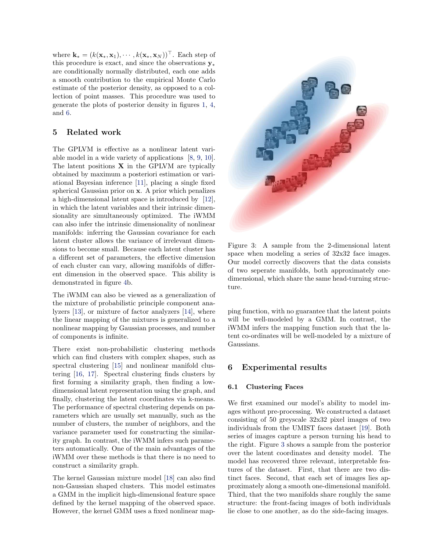where  $\mathbf{k}_{*} = (k(\mathbf{x}_{*}, \mathbf{x}_{1}), \cdots, k(\mathbf{x}_{*}, \mathbf{x}_{N}))^{\top}$ . Each step of this procedure is exact, and since the observations  $y_*$ are conditionally normally distributed, each one adds a smooth contribution to the empirical Monte Carlo estimate of the posterior density, as opposed to a collection of point masses. This procedure was used to generate the plots of posterior density in figures [1,](#page-0-0) [4,](#page-5-0) and [6.](#page-6-0)

# 5 Related work

The GPLVM is effective as a nonlinear latent variable model in a wide variety of applications [\[8,](#page-8-7) [9,](#page-8-8) [10\]](#page-8-9). The latent positions  $X$  in the GPLVM are typically obtained by maximum a posteriori estimation or variational Bayesian inference [\[11\]](#page-8-10), placing a single fixed spherical Gaussian prior on x. A prior which penalizes a high-dimensional latent space is introduced by [\[12\]](#page-8-11), in which the latent variables and their intrinsic dimensionality are simultaneously optimized. The iWMM can also infer the intrinsic dimensionality of nonlinear manifolds: inferring the Gaussian covariance for each latent cluster allows the variance of irrelevant dimensions to become small. Because each latent cluster has a different set of parameters, the effective dimension of each cluster can vary, allowing manifolds of different dimension in the observed space. This ability is demonstrated in figure [4b](#page-5-0).

The iWMM can also be viewed as a generalization of the mixture of probabilistic principle component analyzers [\[13\]](#page-8-12), or mixture of factor analyzers [\[14\]](#page-8-13), where the linear mapping of the mixtures is generalized to a nonlinear mapping by Gaussian processes, and number of components is infinite.

There exist non-probabilistic clustering methods which can find clusters with complex shapes, such as spectral clustering [\[15\]](#page-8-14) and nonlinear manifold clustering [\[16,](#page-8-15) [17\]](#page-8-16). Spectral clustering finds clusters by first forming a similarity graph, then finding a lowdimensional latent representation using the graph, and finally, clustering the latent coordinates via k-means. The performance of spectral clustering depends on parameters which are usually set manually, such as the number of clusters, the number of neighbors, and the variance parameter used for constructing the similarity graph. In contrast, the iWMM infers such parameters automatically. One of the main advantages of the iWMM over these methods is that there is no need to construct a similarity graph.

The kernel Gaussian mixture model [\[18\]](#page-9-0) can also find non-Gaussian shaped clusters. This model estimates a GMM in the implicit high-dimensional feature space defined by the kernel mapping of the observed space. However, the kernel GMM uses a fixed nonlinear map-



Figure 3: A sample from the 2-dimensional latent space when modeling a series of 32x32 face images. Our model correctly discovers that the data consists of two seperate manifolds, both approximately onedimensional, which share the same head-turning structure.

<span id="page-4-0"></span>ping function, with no guarantee that the latent points will be well-modeled by a GMM. In contrast, the iWMM infers the mapping function such that the latent co-ordinates will be well-modeled by a mixture of Gaussians.

### 6 Experimental results

#### 6.1 Clustering Faces

We first examined our model's ability to model images without pre-processing. We constructed a dataset consisting of 50 greyscale 32x32 pixel images of two individuals from the UMIST faces dataset [\[19\]](#page-9-1). Both series of images capture a person turning his head to the right. Figure [3](#page-4-0) shows a sample from the posterior over the latent coordinates and density model. The model has recovered three relevant, interpretable features of the dataset. First, that there are two distinct faces. Second, that each set of images lies approximately along a smooth one-dimensional manifold. Third, that the two manifolds share roughly the same structure: the front-facing images of both individuals lie close to one another, as do the side-facing images.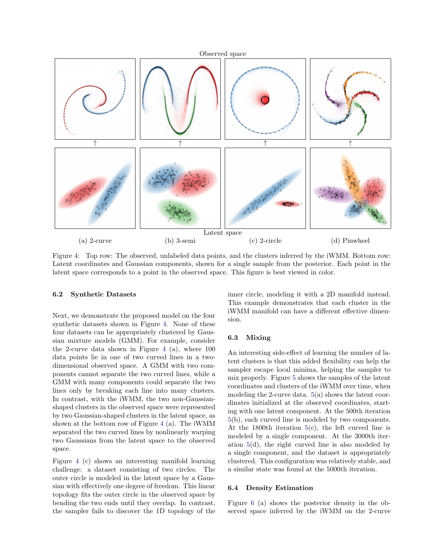

<span id="page-5-0"></span>Figure 4: Top row: The observed, unlabeled data points, and the clusters inferred by the iWMM. Bottom row: Latent coordinates and Gaussian components, shown for a single sample from the posterior. Each point in the latent space corresponds to a point in the observed space. This figure is best viewed in color.

#### 6.2 Synthetic Datasets

Next, we demonstrate the proposed model on the four synthetic datasets shown in Figure [4.](#page-5-0) None of these four datasets can be appropriately clustered by Gaussian mixture models (GMM). For example, consider the 2-curve data shown in Figure [4](#page-5-0) (a), where 100 data points lie in one of two curved lines in a twodimensional observed space. A GMM with two components cannot separate the two curved lines, while a GMM with many components could separate the two lines only by breaking each line into many clusters. In contrast, with the iWMM, the two non-Gaussianshaped clusters in the observed space were represented by two Gaussian-shaped clusters in the latent space, as shown at the bottom row of Figure [4](#page-5-0) (a). The iWMM separated the two curved lines by nonlinearly warping two Gaussians from the latent space to the observed space.

Figure [4](#page-5-0) (c) shows an interesting manifold learning challenge: a dataset consisting of two circles. The outer circle is modeled in the latent space by a Gaussian with effectively one degree of freedom. This linear topology fits the outer circle in the observed space by bending the two ends until they overlap. In contrast, the sampler fails to discover the 1D topology of the inner circle, modeling it with a 2D manifold instead. This example demonstrates that each cluster in the iWMM manifold can have a different effective dimension.

#### 6.3 Mixing

An interesting side-effect of learning the number of latent clusters is that this added flexibility can help the sampler escape local minima, helping the sampler to mix properly. Figure [5](#page-6-1) shows the samples of the latent coordinates and clusters of the iWMM over time, when modeling the 2-curve data. [5\(](#page-6-1)a) shows the latent coordinates initialized at the observed coordinates, starting with one latent component. At the 500th iteration [5\(](#page-6-1)b), each curved line is modeled by two components. At the 1800th iteration [5\(](#page-6-1)c), the left curved line is modeled by a single component. At the 3000th iteration [5\(](#page-6-1)d), the right curved line is also modeled by a single component, and the dataset is appropriately clustered. This configuration was relatively stable, and a similar state was found at the 5000th iteration.

#### 6.4 Density Estimation

Figure [6](#page-6-0) (a) shows the posterior density in the observed space inferred by the iWMM on the 2-curve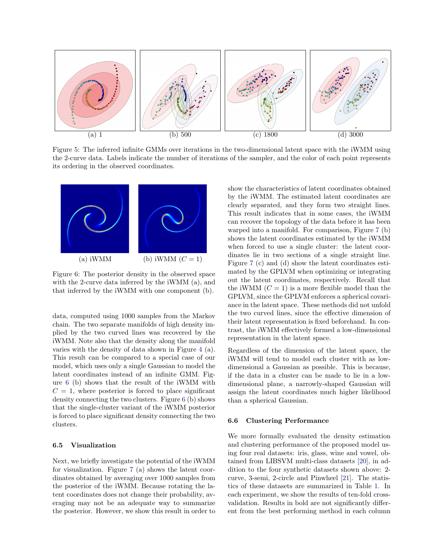

<span id="page-6-1"></span>Figure 5: The inferred infinite GMMs over iterations in the two-dimensional latent space with the iWMM using the 2-curve data. Labels indicate the number of iterations of the sampler, and the color of each point represents its ordering in the observed coordinates.



<span id="page-6-0"></span>Figure 6: The posterior density in the observed space with the 2-curve data inferred by the iWMM (a), and that inferred by the iWMM with one component (b).

data, computed using 1000 samples from the Markov chain. The two separate manifolds of high density implied by the two curved lines was recovered by the iWMM. Note also that the density along the manifold varies with the density of data shown in Figure [4](#page-5-0) (a). This result can be compared to a special case of our model, which uses only a single Gaussian to model the latent coordinates instead of an infinite GMM. Figure [6](#page-6-0) (b) shows that the result of the iWMM with  $C = 1$ , where posterior is forced to place significant density connecting the two clusters. Figure [6](#page-6-0) (b) shows that the single-cluster variant of the iWMM posterior is forced to place significant density connecting the two clusters.

#### 6.5 Visualization

Next, we briefly investigate the potential of the iWMM for visualization. Figure [7](#page-7-0) (a) shows the latent coordinates obtained by averaging over 1000 samples from the posterior of the iWMM. Because rotating the latent coordinates does not change their probability, averaging may not be an adequate way to summarize the posterior. However, we show this result in order to

show the characteristics of latent coordinates obtained by the iWMM. The estimated latent coordinates are clearly separated, and they form two straight lines. This result indicates that in some cases, the iWMM can recover the topology of the data before it has been warped into a manifold. For comparison, Figure [7](#page-7-0) (b) shows the latent coordinates estimated by the iWMM when forced to use a single cluster: the latent coordinates lie in two sections of a single straight line. Figure [7](#page-7-0) (c) and (d) show the latent coordinates estimated by the GPLVM when optimizing or integrating out the latent coordinates, respectively. Recall that the iWMM  $(C = 1)$  is a more flexible model than the GPLVM, since the GPLVM enforces a spherical covariance in the latent space. These methods did not unfold the two curved lines, since the effective dimension of their latent representation is fixed beforehand. In contrast, the iWMM effectively formed a low-dimensional representation in the latent space.

Regardless of the dimension of the latent space, the iWMM will tend to model each cluster with as lowdimensional a Gaussian as possible. This is because, if the data in a cluster can be made to lie in a lowdimensional plane, a narrowly-shaped Gaussian will assign the latent coordinates much higher likelihood than a spherical Gaussian.

#### 6.6 Clustering Performance

We more formally evaluated the density estimation and clustering performance of the proposed model using four real datasets: iris, glass, wine and vowel, obtained from LIBSVM multi-class datasets [\[20\]](#page-9-2), in addition to the four synthetic datasets shown above: 2 curve, 3-semi, 2-circle and Pinwheel [\[21\]](#page-9-3). The statistics of these datasets are summarized in Table [1.](#page-7-1) In each experiment, we show the results of ten-fold crossvalidation. Results in bold are not significantly different from the best performing method in each column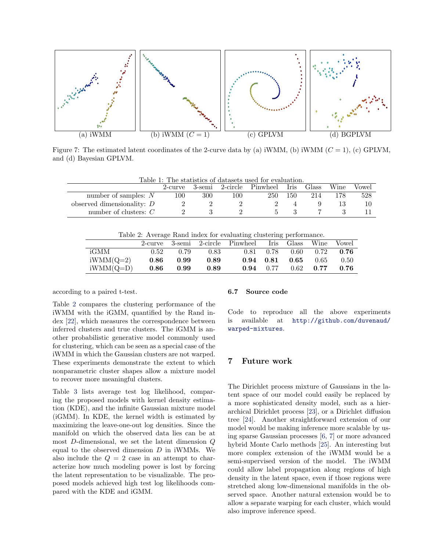

<span id="page-7-0"></span>Figure 7: The estimated latent coordinates of the 2-curve data by (a) iWMM, (b) iWMM  $(C = 1)$ , (c) GPLVM, and (d) Bayesian GPLVM.

| Table 1: The statistics of datasets used for evaluation. |         |     |     |                               |     |       |      |       |
|----------------------------------------------------------|---------|-----|-----|-------------------------------|-----|-------|------|-------|
|                                                          | 2-curve |     |     | 3-semi 2-circle Pinwheel Iris |     | Glass | Wine | Vowel |
| number of samples: $N$                                   | 100     | 300 | 100 | 250                           | 150 | 214   |      | 528   |
| observed dimensionality: $D$                             |         |     |     |                               |     |       |      |       |
| number of clusters: $C$                                  |         |     |     | $\mathbf{a}$                  |     |       |      |       |

<span id="page-7-2"></span><span id="page-7-1"></span>Table 2: Average Rand index for evaluating clustering performance.

|             |      |      |      | 2-curve 3-semi 2-circle Pinwheel Iris Glass Wine |                   |                                    |             | <b>Vowel</b> |
|-------------|------|------|------|--------------------------------------------------|-------------------|------------------------------------|-------------|--------------|
| iGMM        | 0.52 | 0.79 | 0.83 |                                                  |                   | $0.81$ $0.78$ $0.60$ $0.72$ $0.76$ |             |              |
| $iWMM(Q=2)$ | 0.86 | 0.99 | 0.89 |                                                  |                   | $0.94$ $0.81$ $0.65$ $0.65$        |             | 0.50         |
| $iWMM(Q=D)$ | 0.86 | 0.99 | 0.89 |                                                  | $0.94 \quad 0.77$ |                                    | $0.62$ 0.77 | 0.76         |

according to a paired t-test.

Table [2](#page-7-2) compares the clustering performance of the iWMM with the iGMM, quantified by the Rand index [\[22\]](#page-9-4), which measures the correspondence between inferred clusters and true clusters. The iGMM is another probabilistic generative model commonly used for clustering, which can be seen as a special case of the iWMM in which the Gaussian clusters are not warped. These experiments demonstrate the extent to which nonparametric cluster shapes allow a mixture model to recover more meaningful clusters.

Table [3](#page-8-17) lists average test log likelihood, comparing the proposed models with kernel density estimation (KDE), and the infinite Gaussian mixture model (iGMM). In KDE, the kernel width is estimated by maximizing the leave-one-out log densities. Since the manifold on which the observed data lies can be at most D-dimensional, we set the latent dimension Q equal to the observed dimension  $D$  in iWMMs. We also include the  $Q = 2$  case in an attempt to characterize how much modeling power is lost by forcing the latent representation to be visualizable. The proposed models achieved high test log likelihoods compared with the KDE and iGMM.

#### 6.7 Source code

Code to reproduce all the above experiments is available at [http://github.com/duvenaud/](http://github.com/duvenaud/warped-mixtures) [warped-mixtures](http://github.com/duvenaud/warped-mixtures).

# 7 Future work

The Dirichlet process mixture of Gaussians in the latent space of our model could easily be replaced by a more sophisticated density model, such as a hierarchical Dirichlet process [\[23\]](#page-9-5), or a Dirichlet diffusion tree [\[24\]](#page-9-6). Another straightforward extension of our model would be making inference more scalable by using sparse Gaussian processes [\[6,](#page-8-5) [7\]](#page-8-6) or more advanced hybrid Monte Carlo methods [\[25\]](#page-9-7). An interesting but more complex extension of the iWMM would be a semi-supervised version of the model. The iWMM could allow label propagation along regions of high density in the latent space, even if those regions were stretched along low-dimensional manifolds in the observed space. Another natural extension would be to allow a separate warping for each cluster, which would also improve inference speed.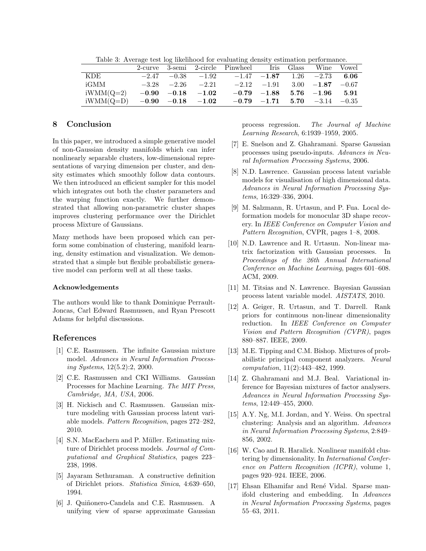|             |  |                         | 2-curve 3-semi 2-circle Pinwheel Iris Glass Wine Vowel         |  |  |
|-------------|--|-------------------------|----------------------------------------------------------------|--|--|
| KDE.        |  |                         | $-2.47$ $-0.38$ $-1.92$ $-1.47$ $-1.87$ 1.26 $-2.73$ 6.06      |  |  |
| iGMM        |  |                         | $-3.28$ $-2.26$ $-2.21$ $-2.12$ $-1.91$ $3.00$ $-1.87$ $-0.67$ |  |  |
| $iWMM(Q=2)$ |  | $-0.90$ $-0.18$ $-1.02$ | $-0.79$ $-1.88$ $5.76$ $-1.96$ $5.91$                          |  |  |
| $iWMM(Q=D)$ |  | $-0.90$ $-0.18$ $-1.02$ | $-0.79$ $-1.71$ 5.70 $-3.14$ $-0.35$                           |  |  |

<span id="page-8-17"></span>Table 3: Average test log likelihood for evaluating density estimation performance.

# 8 Conclusion

In this paper, we introduced a simple generative model of non-Gaussian density manifolds which can infer nonlinearly separable clusters, low-dimensional representations of varying dimension per cluster, and density estimates which smoothly follow data contours. We then introduced an efficient sampler for this model which integrates out both the cluster parameters and the warping function exactly. We further demonstrated that allowing non-parametric cluster shapes improves clustering performance over the Dirichlet process Mixture of Gaussians.

Many methods have been proposed which can perform some combination of clustering, manifold learning, density estimation and visualization. We demonstrated that a simple but flexible probabilistic generative model can perform well at all these tasks.

#### Acknowledgements

The authors would like to thank Dominique Perrault-Joncas, Carl Edward Rasmussen, and Ryan Prescott Adams for helpful discussions.

# References

- <span id="page-8-0"></span>[1] C.E. Rasmussen. The infinite Gaussian mixture model. Advances in Neural Information Processing Systems, 12(5.2):2, 2000.
- <span id="page-8-1"></span>[2] C.E. Rasmussen and CKI Williams. Gaussian Processes for Machine Learning. The MIT Press, Cambridge, MA, USA, 2006.
- <span id="page-8-2"></span>[3] H. Nickisch and C. Rasmussen. Gaussian mixture modeling with Gaussian process latent variable models. Pattern Recognition, pages 272–282, 2010.
- <span id="page-8-3"></span>[4] S.N. MacEachern and P. Müller. Estimating mixture of Dirichlet process models. Journal of Computational and Graphical Statistics, pages 223– 238, 1998.
- <span id="page-8-4"></span>[5] Jayaram Sethuraman. A constructive definition of Dirichlet priors. Statistica Sinica, 4:639–650, 1994.
- <span id="page-8-5"></span>[6] J. Quiñonero-Candela and C.E. Rasmussen. A unifying view of sparse approximate Gaussian

process regression. The Journal of Machine Learning Research, 6:1939–1959, 2005.

- <span id="page-8-6"></span>[7] E. Snelson and Z. Ghahramani. Sparse Gaussian processes using pseudo-inputs. Advances in Neural Information Processing Systems, 2006.
- <span id="page-8-7"></span>[8] N.D. Lawrence. Gaussian process latent variable models for visualisation of high dimensional data. Advances in Neural Information Processing Systems, 16:329–336, 2004.
- <span id="page-8-8"></span>[9] M. Salzmann, R. Urtasun, and P. Fua. Local deformation models for monocular 3D shape recovery. In IEEE Conference on Computer Vision and Pattern Recognition, CVPR, pages 1–8, 2008.
- <span id="page-8-9"></span>[10] N.D. Lawrence and R. Urtasun. Non-linear matrix factorization with Gaussian processes. In Proceedings of the 26th Annual International Conference on Machine Learning, pages 601–608. ACM, 2009.
- <span id="page-8-10"></span>[11] M. Titsias and N. Lawrence. Bayesian Gaussian process latent variable model. AISTATS, 2010.
- <span id="page-8-11"></span>[12] A. Geiger, R. Urtasun, and T. Darrell. Rank priors for continuous non-linear dimensionality reduction. In IEEE Conference on Computer Vision and Pattern Recognition (CVPR), pages 880–887. IEEE, 2009.
- <span id="page-8-12"></span>[13] M.E. Tipping and C.M. Bishop. Mixtures of probabilistic principal component analyzers. Neural computation, 11(2):443–482, 1999.
- <span id="page-8-13"></span>[14] Z. Ghahramani and M.J. Beal. Variational inference for Bayesian mixtures of factor analysers. Advances in Neural Information Processing Systems, 12:449–455, 2000.
- <span id="page-8-14"></span>[15] A.Y. Ng, M.I. Jordan, and Y. Weiss. On spectral clustering: Analysis and an algorithm. Advances in Neural Information Processing Systems, 2:849– 856, 2002.
- <span id="page-8-15"></span>[16] W. Cao and R. Haralick. Nonlinear manifold clustering by dimensionality. In International Conference on Pattern Recognition (ICPR), volume 1, pages 920–924. IEEE, 2006.
- <span id="page-8-16"></span>[17] Ehsan Elhamifar and René Vidal. Sparse manifold clustering and embedding. In Advances in Neural Information Processing Systems, pages 55–63, 2011.